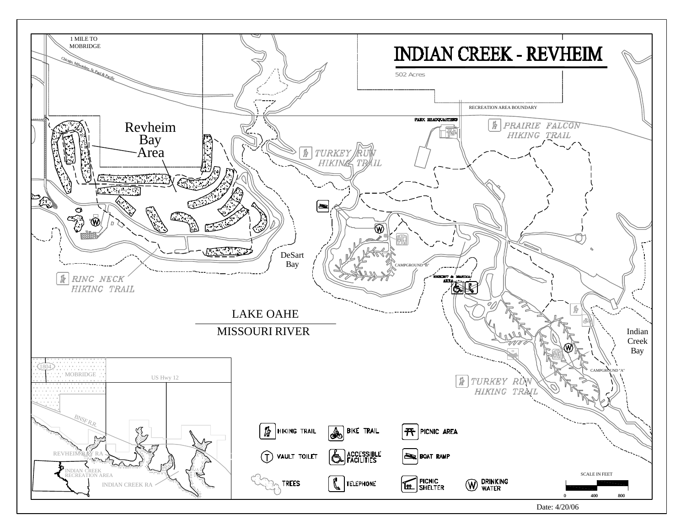